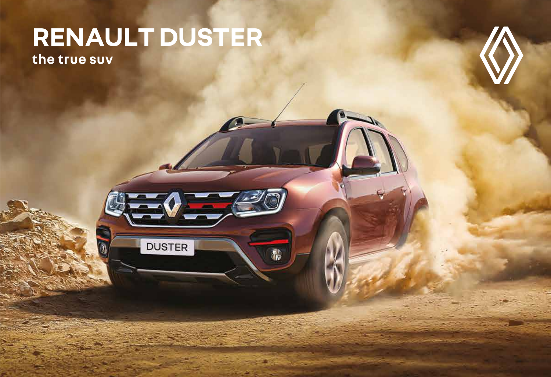## RENAULT DUSTER the true suv

**DUSTER** 

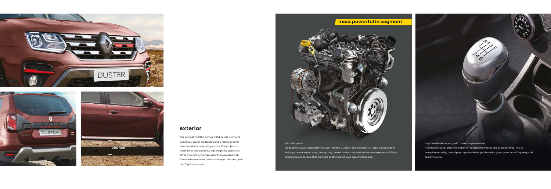### **exterior**

The Renault DUSTER comes with Everest Diamond Cut Alloys, stylish skid plates and a higher ground clearance for an imposing stance. The projector headlamps and LED DRLs add a lighting signature. While the car's dynamism is further elevated with Crimson Red accents on the tri-winged chrome grille and fog lamp covers.

## **most powerful in segment**



improved fuel economy with the turbo powertrain

The Renault DUSTER offers better on-road performance and fuel economy. This is complemented by the 6-Speed synchronised gearbox that gives superior shift quality and fuel efficiency

#### 1.3l turbo petrol

Gear up for power-packed drives with Renault DUSTER. The powerful 1.3l turbo petrol engine helps you muscle your way through any terrain. With an exceptional maximum power of 156 ps and maximum torque of 254 nm, it is built to match your adventurous side.







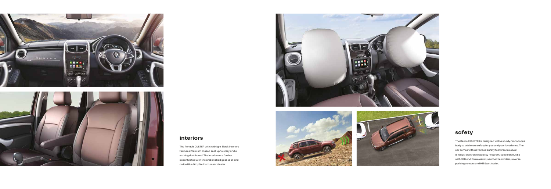



## **interiors**

## **safety**

The Renault DUSTER with Midnight Black interiors features Premium Glazed seat upholstery and a striking dashboard. The interiors are further accentuated with the embellished gear stick and an Ice Blue Graphic instrument cluster.







The Renault DUSTER is designed with a sturdy monocoque body to add more safety for you and your loved ones. The car comes with advanced safety features, like dual airbags, Electronic Stability Program, speed alert, ABS with EBD and Brake Assist, seatbelt reminders, reverse parking sensors and Hill Start Assist.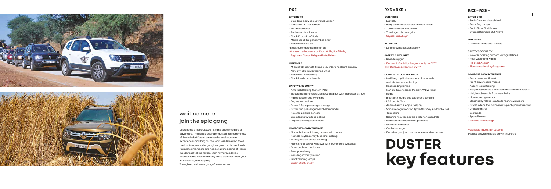



## join the epic gang wait no more

Drive home a Renault DUSTER and drive into a life of adventure. The Renault Gang of dusters is a community of like-minded Duster owners who seek out new experiences and long for the road less-travelled. Over the last four years, the gang has grown with over 1 lakh registered members and has conquered some of india's most breathtaking routes. With numerous drives already completed and many more planned, this is your invitation to join the gang. To register, visit www.gangofdusters.com

# **DUSTER key features**

#### **RXS = RXE +**

#### **EXTERIORS**

- LED DRL
- Body coloured outer door handle finish
- Turn indicators on ORVMs
- Tri-winged chrome grille
- Crystal Cut Alloys\*

#### **INTERIORS**

• Deco Brown seat upholstery

#### **SAFETY & SECURITY**

- Rear defogger
- Electronic Stability Program (only on CVT)\*
- Hill Start Assist (only on CVT)\*

#### **COMFORT & CONVENIENCE**

- Ice Blue graphic instrument cluster with
- multi-information display
- Rear reading lamps
- 17.64cm Touchscreen MediaNAV Evolution
- Radio
- Bluetooth (audio and telephone control)
- USB and AUX-In
- Android Auto & Apple Carplay
- Voice Recognition (via Apple Car Play, Android Auto)
- 
- Steering mounted audio and phone controls
- Rear seat armrest with cupholders
- Gearshift Indicator
- Cooled storage
- Electrically adjustable outside rear view mirrors
- 
- 
- 
- 
- 4 speakers

#### **EXTERIORS**

- Dual tone body colour front bumper
- Waterfall LED tail lamps
- Full wheel cover
- Projector Headlamps
- Black Kayak Roof Rails
- Matte Black Tailgate Embellisher
- Black door side sill
- Black outer door handle finish
- Crimson red accents on Front Grille, Roof Rails,
- Fog Lamp Cover, Tailgate Embellisher\*

#### **INTERIORS**

- Midnight Black with Stone Grey Interior colour harmony
- New Style Renault steering wheel
- Black seat upholstery
- Black inside door handle

#### **SAFETY & SECURITY**

- Anti-lock Braking System (ABS)
- Electronic Brakeforce Distribution (EBD) with Brake Assist (BA)
- Rapid deceleration warning
- Engine immobiliser
- Driver & front passenger airbags
- Driver and passenger seat belt reminder
- Reverse parking sensors
- Speed sensitive door locking
- Impact sensing door unlock

#### **COMFORT & CONVENIENCE**

- Manual air conditioning control with heater
- Remote keyless entry & central locking
- Tilt adjustable power steering
- Front & rear power windows with illuminated switches
- One-touch turn indicator
- Rear parcel tray
- Passenger vanity mirror
- Front reading lamps
- Smart Start / Stop\*

#### **RXZ = RXS +**

#### **EXTERIORS**

- Satin Chrome door side sill
- Front Fog Lamps
- Satin Silver Skid Plates
- Everest Diamond Cut Alloys

#### **INTERIORS**

• Chrome inside door handle

#### SAFETY & SECURITY

- Reverse parking camera with guidelines
- Rear wiper and washer
- Hill Start Assist\*
- Electronic Stability Program\*

#### **COMFORT & CONVENIENCE**

- Front tweeters (2 nos)
- Front driver seat armrest
- Auto Airconditioning
- Height adjustable driver seat with lumbar support
- Height adjustable front seat belts
- Illuminated glove box
- Electrically foldable outside rear view mirrors
- Driver side auto up-down anti-pinch power window
- Cruise control
- EcoGuide
- Speed limiter
- Remote Precooling\*

#### \*Available in DUSTER 1.3L only Everest alloys available only in 1.5L Petrol